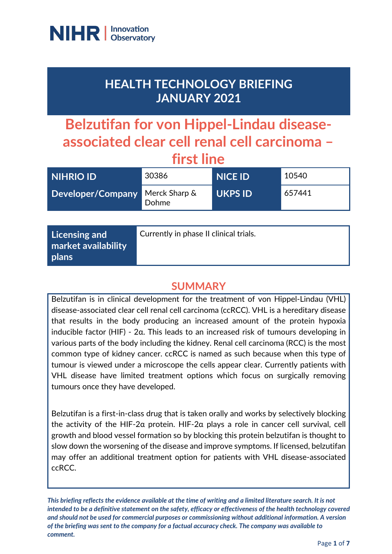

## **HEALTH TECHNOLOGY BRIEFING JANUARY 2021**

# **Belzutifan for von Hippel-Lindau diseaseassociated clear cell renal cell carcinoma – first line**

| <b>NIHRIO ID</b>  | 30386                  | <b>NICE ID</b> | 10540  |
|-------------------|------------------------|----------------|--------|
| Developer/Company | Merck Sharp &<br>Dohme | <b>UKPS ID</b> | 657441 |
|                   |                        |                |        |

| Licensing and<br>market availability<br>plans | Currently in phase II clinical trials. |
|-----------------------------------------------|----------------------------------------|
|-----------------------------------------------|----------------------------------------|

## **SUMMARY**

Belzutifan is in clinical development for the treatment of von Hippel-Lindau (VHL) disease-associated clear cell renal cell carcinoma (ccRCC). VHL is a hereditary disease that results in the body producing an increased amount of the protein hypoxia inducible factor (HIF) - 2α. This leads to an increased risk of tumours developing in various parts of the body including the kidney. Renal cell carcinoma (RCC) is the most common type of kidney cancer. ccRCC is named as such because when this type of tumour is viewed under a microscope the cells appear clear. Currently patients with VHL disease have limited treatment options which focus on surgically removing tumours once they have developed.

Belzutifan is a first-in-class drug that is taken orally and works by selectively blocking the activity of the HIF-2α protein. HIF-2α plays a role in cancer cell survival, cell growth and blood vessel formation so by blocking this protein belzutifan is thought to slow down the worsening of the disease and improve symptoms. If licensed, belzutifan may offer an additional treatment option for patients with VHL disease-associated ccRCC.

*This briefing reflects the evidence available at the time of writing and a limited literature search. It is not intended to be a definitive statement on the safety, efficacy or effectiveness of the health technology covered and should not be used for commercial purposes or commissioning without additional information. A version of the briefing was sent to the company for a factual accuracy check. The company was available to comment.*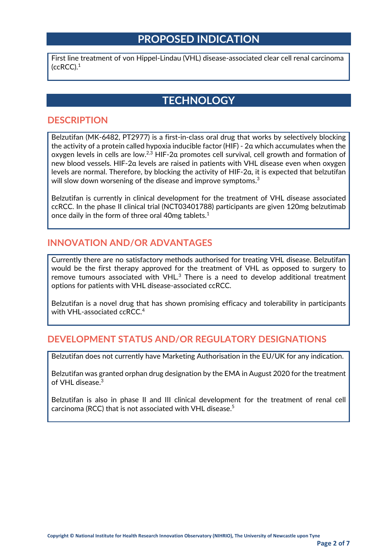## **PROPOSED INDICATION**

First line treatment of von Hippel-Lindau (VHL) disease-associated clear cell renal carcinoma  $(ccRCC).<sup>1</sup>$ 

## **TECHNOLOGY**

#### **DESCRIPTION**

Belzutifan (MK-6482, PT2977) is a first-in-class oral drug that works by selectively blocking the activity of a protein called hypoxia inducible factor (HIF) - 2α which accumulates when the oxygen levels in cells are low.2,3 HIF-2α promotes cell survival, cell growth and formation of new blood vessels. HIF-2α levels are raised in patients with VHL disease even when oxygen levels are normal. Therefore, by blocking the activity of HIF-2α, it is expected that belzutifan will slow down worsening of the disease and improve symptoms.<sup>3</sup>

Belzutifan is currently in clinical development for the treatment of VHL disease associated ccRCC. In the phase II clinical trial (NCT03401788) participants are given 120mg belzutimab once daily in the form of three oral 40mg tablets.<sup>1</sup>

#### **INNOVATION AND/OR ADVANTAGES**

Currently there are no satisfactory methods authorised for treating VHL disease. Belzutifan would be the first therapy approved for the treatment of VHL as opposed to surgery to remove tumours associated with VHL.<sup>3</sup> There is a need to develop additional treatment options for patients with VHL disease-associated ccRCC.

Belzutifan is a novel drug that has shown promising efficacy and tolerability in participants with VHL-associated ccRCC.<sup>4</sup>

#### **DEVELOPMENT STATUS AND/OR REGULATORY DESIGNATIONS**

Belzutifan does not currently have Marketing Authorisation in the EU/UK for any indication.

Belzutifan was granted orphan drug designation by the EMA in August 2020 for the treatment of VHL disease.3

Belzutifan is also in phase II and III clinical development for the treatment of renal cell carcinoma (RCC) that is not associated with VHL disease.<sup>5</sup>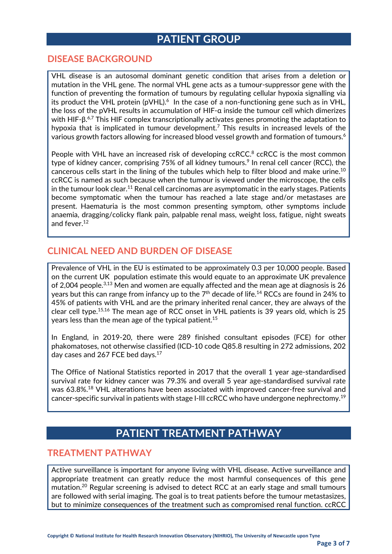## **PATIENT GROUP**

#### **DISEASE BACKGROUND**

VHL disease is an autosomal dominant genetic condition that arises from a deletion or mutation in the VHL gene. The normal VHL gene acts as a tumour-suppressor gene with the function of preventing the formation of tumours by regulating cellular hypoxia signalling via its product the VHL protein (pVHL).<sup>6</sup> In the case of a non-functioning gene such as in VHL, the loss of the pVHL results in accumulation of HIF-α inside the tumour cell which dimerizes with HIF-β.<sup>6,7</sup> This HIF complex transcriptionally activates genes promoting the adaptation to hypoxia that is implicated in tumour development.<sup>7</sup> This results in increased levels of the various growth factors allowing for increased blood vessel growth and formation of tumours.<sup>6</sup>

People with VHL have an increased risk of developing ccRCC.<sup>8</sup> ccRCC is the most common type of kidney cancer, comprising 75% of all kidney tumours.<sup>9</sup> In renal cell cancer (RCC), the cancerous cells start in the lining of the tubules which help to filter blood and make urine.10 ccRCC is named as such because when the tumour is viewed under the microscope, the cells in the tumour look clear.<sup>11</sup> Renal cell carcinomas are asymptomatic in the early stages. Patients become symptomatic when the tumour has reached a late stage and/or metastases are present. Haematuria is the most common presenting symptom, other symptoms include anaemia, dragging/colicky flank pain, palpable renal mass, weight loss, fatigue, night sweats and fever.12

#### **CLINICAL NEED AND BURDEN OF DISEASE**

Prevalence of VHL in the EU is estimated to be approximately 0.3 per 10,000 people. Based on the current UK population estimate this would equate to an approximate UK prevalence of 2,004 people.<sup>3,13</sup> Men and women are equally affected and the mean age at diagnosis is 26 years but this can range from infancy up to the  $7<sup>th</sup>$  decade of life.<sup>14</sup> RCCs are found in 24% to 45% of patients with VHL and are the primary inherited renal cancer, they are always of the clear cell type. 15,16 The mean age of RCC onset in VHL patients is 39 years old, which is 25 years less than the mean age of the typical patient.<sup>15</sup>

In England, in 2019-20, there were 289 finished consultant episodes (FCE) for other phakomatoses, not otherwise classified (ICD-10 code Q85.8 resulting in 272 admissions, 202 day cases and 267 FCE bed days.<sup>17</sup>

The Office of National Statistics reported in 2017 that the overall 1 year age-standardised survival rate for kidney cancer was 79.3% and overall 5 year age-standardised survival rate was 63.8%.<sup>18</sup> VHL alterations have been associated with improved cancer-free survival and cancer-specific survival in patients with stage I-III ccRCC who have undergone nephrectomy.<sup>19</sup>

## **PATIENT TREATMENT PATHWAY**

#### **TREATMENT PATHWAY**

Active surveillance is important for anyone living with VHL disease. Active surveillance and appropriate treatment can greatly reduce the most harmful consequences of this gene mutation.20 Regular screening is advised to detect RCC at an early stage and small tumours are followed with serial imaging. The goal is to treat patients before the tumour metastasizes, but to minimize consequences of the treatment such as compromised renal function. ccRCC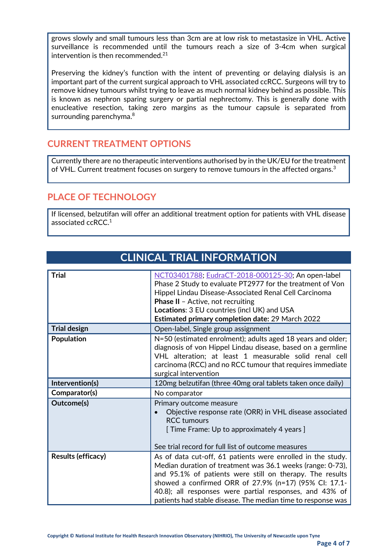grows slowly and small tumours less than 3cm are at low risk to metastasize in VHL. Active surveillance is recommended until the tumours reach a size of 3-4cm when surgical intervention is then recommended.<sup>21</sup>

Preserving the kidney's function with the intent of preventing or delaying dialysis is an important part of the current surgical approach to VHL associated ccRCC. Surgeons will try to remove kidney tumours whilst trying to leave as much normal kidney behind as possible. This is known as nephron sparing surgery or partial nephrectomy. This is generally done with enucleative resection, taking zero margins as the tumour capsule is separated from surrounding parenchyma.<sup>8</sup>

### **CURRENT TREATMENT OPTIONS**

Currently there are no therapeutic interventions authorised by in the UK/EU for the treatment of VHL. Current treatment focuses on surgery to remove tumours in the affected organs.<sup>3</sup>

### **PLACE OF TECHNOLOGY**

If licensed, belzutifan will offer an additional treatment option for patients with VHL disease associated ccRCC.1

**CLINICAL TRIAL INFORMATION**

| <b>Trial</b>        | NCT03401788; EudraCT-2018-000125-30; An open-label<br>Phase 2 Study to evaluate PT2977 for the treatment of Von<br>Hippel Lindau Disease-Associated Renal Cell Carcinoma<br><b>Phase II</b> - Active, not recruiting<br>Locations: 3 EU countries (incl UK) and USA<br>Estimated primary completion date: 29 March 2022                                                   |
|---------------------|---------------------------------------------------------------------------------------------------------------------------------------------------------------------------------------------------------------------------------------------------------------------------------------------------------------------------------------------------------------------------|
| <b>Trial design</b> | Open-label, Single group assignment                                                                                                                                                                                                                                                                                                                                       |
| <b>Population</b>   | N=50 (estimated enrolment); adults aged 18 years and older;<br>diagnosis of von Hippel Lindau disease, based on a germline<br>VHL alteration; at least 1 measurable solid renal cell<br>carcinoma (RCC) and no RCC tumour that requires immediate<br>surgical intervention                                                                                                |
| Intervention(s)     | 120mg belzutifan (three 40mg oral tablets taken once daily)                                                                                                                                                                                                                                                                                                               |
| Comparator(s)       | No comparator                                                                                                                                                                                                                                                                                                                                                             |
| Outcome(s)          | Primary outcome measure<br>Objective response rate (ORR) in VHL disease associated<br><b>RCC</b> tumours<br>[ Time Frame: Up to approximately 4 years ]<br>See trial record for full list of outcome measures                                                                                                                                                             |
| Results (efficacy)  | As of data cut-off, 61 patients were enrolled in the study.<br>Median duration of treatment was 36.1 weeks (range: 0-73),<br>and 95.1% of patients were still on therapy. The results<br>showed a confirmed ORR of 27.9% (n=17) (95% CI: 17.1-<br>40.8); all responses were partial responses, and 43% of<br>patients had stable disease. The median time to response was |

#### **Copyright © National Institute for Health Research Innovation Observatory (NIHRIO), The University of Newcastle upon Tyne**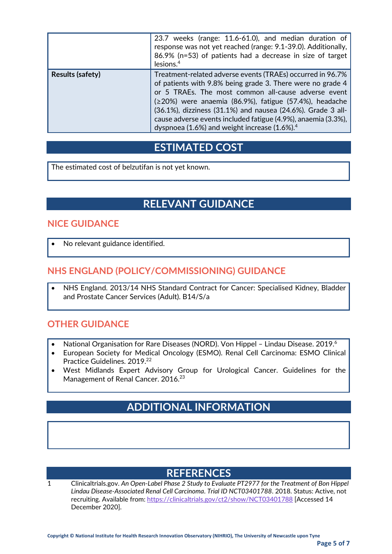|                         | 23.7 weeks (range: 11.6-61.0), and median duration of<br>response was not yet reached (range: 9.1-39.0). Additionally,<br>86.9% (n=53) of patients had a decrease in size of target<br>lesions. $\rm ^4$                                                                                                                                                                                                                                    |
|-------------------------|---------------------------------------------------------------------------------------------------------------------------------------------------------------------------------------------------------------------------------------------------------------------------------------------------------------------------------------------------------------------------------------------------------------------------------------------|
| <b>Results (safety)</b> | Treatment-related adverse events (TRAEs) occurred in 96.7%<br>of patients with 9.8% being grade 3. There were no grade 4<br>or 5 TRAEs. The most common all-cause adverse event<br>$(220%)$ were anaemia (86.9%), fatigue (57.4%), headache<br>(36.1%), dizziness (31.1%) and nausea (24.6%). Grade 3 all-<br>cause adverse events included fatigue (4.9%), anaemia (3.3%),<br>dyspnoea (1.6%) and weight increase $(1.6\%)$ . <sup>4</sup> |

### **ESTIMATED COST**

The estimated cost of belzutifan is not yet known.

## **RELEVANT GUIDANCE**

#### **NICE GUIDANCE**

No relevant guidance identified.

### **NHS ENGLAND (POLICY/COMMISSIONING) GUIDANCE**

• NHS England. 2013/14 NHS Standard Contract for Cancer: Specialised Kidney, Bladder and Prostate Cancer Services (Adult). B14/S/a

#### **OTHER GUIDANCE**

- National Organisation for Rare Diseases (NORD). Von Hippel Lindau Disease. 2019.<sup>6</sup>
- European Society for Medical Oncology (ESMO). Renal Cell Carcinoma: ESMO Clinical Practice Guidelines. 2019.<sup>22</sup>
- West Midlands Expert Advisory Group for Urological Cancer. Guidelines for the Management of Renal Cancer. 2016.<sup>23</sup>

## **ADDITIONAL INFORMATION**

## **REFERENCES**

1 Clinicaltrials.gov. *An Open-Label Phase 2 Study to Evaluate PT2977 for the Treatment of Bon Hippel Lindau Disease-Associated Renal Cell Carcinoma*. *Trial ID NCT03401788*. 2018. Status: Active, not recruiting. Available from: <https://clinicaltrials.gov/ct2/show/NCT03401788> [Accessed 14 December 2020].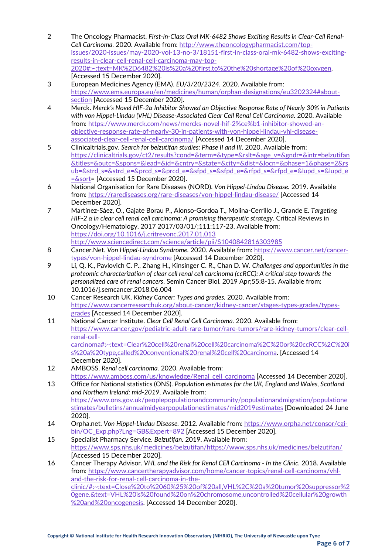- 2 The Oncology Pharmacist. *First-in-Class Oral MK-6482 Shows Exciting Results in Clear-Cell Renal-Cell Carcinoma.* 2020. Available from: [http://www.theoncologypharmacist.com/top](http://www.theoncologypharmacist.com/top-issues/2020-issues/may-2020-vol-13-no-3/18151-first-in-class-oral-mk-6482-shows-exciting-results-in-clear-cell-renal-cell-carcinoma-may-top-2020#:%7E:text=MK%2D6482%20is%20a%20first,to%20the%20shortage%20of%20oxygen)[issues/2020-issues/may-2020-vol-13-no-3/18151-first-in-class-oral-mk-6482-shows-exciting](http://www.theoncologypharmacist.com/top-issues/2020-issues/may-2020-vol-13-no-3/18151-first-in-class-oral-mk-6482-shows-exciting-results-in-clear-cell-renal-cell-carcinoma-may-top-2020#:%7E:text=MK%2D6482%20is%20a%20first,to%20the%20shortage%20of%20oxygen)[results-in-clear-cell-renal-cell-carcinoma-may-top-](http://www.theoncologypharmacist.com/top-issues/2020-issues/may-2020-vol-13-no-3/18151-first-in-class-oral-mk-6482-shows-exciting-results-in-clear-cell-renal-cell-carcinoma-may-top-2020#:%7E:text=MK%2D6482%20is%20a%20first,to%20the%20shortage%20of%20oxygen)[2020#:~:text=MK%2D6482%20is%20a%20first,to%20the%20shortage%20of%20oxygen](http://www.theoncologypharmacist.com/top-issues/2020-issues/may-2020-vol-13-no-3/18151-first-in-class-oral-mk-6482-shows-exciting-results-in-clear-cell-renal-cell-carcinoma-may-top-2020#:%7E:text=MK%2D6482%20is%20a%20first,to%20the%20shortage%20of%20oxygen). [Accessed 15 December 2020].
- 3 European Medicines Agency (EMA). *EU/3/20/2324.* 2020. Available from: [https://www.ema.europa.eu/en/medicines/human/orphan-designations/eu3202324#about](https://www.ema.europa.eu/en/medicines/human/orphan-designations/eu3202324#about-section)[section](https://www.ema.europa.eu/en/medicines/human/orphan-designations/eu3202324#about-section) [Accessed 15 December 2020].
- 4 Merck. *Merck's Novel HIF-2α Inhibitor Showed an Objective Response Rate of Nearly 30% in Patients with von Hippel-Lindau (VHL) Disease-Associated Clear Cell Renal Cell Carcinoma.* 2020. Available from: [https://www.merck.com/news/mercks-novel-hif-2%ce%b1-inhibitor-showed-an](https://www.merck.com/news/mercks-novel-hif-2%ce%b1-inhibitor-showed-an-objective-response-rate-of-nearly-30-in-patients-with-von-hippel-lindau-vhl-disease-associated-clear-cell-renal-cell-carcinoma/)objective[-response-rate-of-nearly-30-in-patients-with-von-hippel-lindau-vhl-disease](https://www.merck.com/news/mercks-novel-hif-2%ce%b1-inhibitor-showed-an-objective-response-rate-of-nearly-30-in-patients-with-von-hippel-lindau-vhl-disease-associated-clear-cell-renal-cell-carcinoma/)[associated-clear-cell-renal-cell-carcinoma/](https://www.merck.com/news/mercks-novel-hif-2%ce%b1-inhibitor-showed-an-objective-response-rate-of-nearly-30-in-patients-with-von-hippel-lindau-vhl-disease-associated-clear-cell-renal-cell-carcinoma/) [Accessed 14 December 2020].
- 5 Clinicaltrials.gov. *Search for belzutifan studies: Phase II and III.* 2020. Available from: [https://clinicaltrials.gov/ct2/results?cond=&term=&type=&rslt=&age\\_v=&gndr=&intr=belzutifan](https://clinicaltrials.gov/ct2/results?cond=&term=&type=&rslt=&age_v=&gndr=&intr=belzutifan&titles=&outc=&spons=&lead=&id=&cntry=&state=&city=&dist=&locn=&phase=1&phase=2&rsub=&strd_s=&strd_e=&prcd_s=&prcd_e=&sfpd_s=&sfpd_e=&rfpd_s=&rfpd_e=&lupd_s=&lupd_e=&sort) [&titles=&outc=&spons=&lead=&id=&cntry=&state=&city=&dist=&locn=&phase=1&phase=2&rs](https://clinicaltrials.gov/ct2/results?cond=&term=&type=&rslt=&age_v=&gndr=&intr=belzutifan&titles=&outc=&spons=&lead=&id=&cntry=&state=&city=&dist=&locn=&phase=1&phase=2&rsub=&strd_s=&strd_e=&prcd_s=&prcd_e=&sfpd_s=&sfpd_e=&rfpd_s=&rfpd_e=&lupd_s=&lupd_e=&sort) [ub=&strd\\_s=&strd\\_e=&prcd\\_s=&prcd\\_e=&sfpd\\_s=&sfpd\\_e=&rfpd\\_s=&rfpd\\_e=&lupd\\_s=&lupd\\_e](https://clinicaltrials.gov/ct2/results?cond=&term=&type=&rslt=&age_v=&gndr=&intr=belzutifan&titles=&outc=&spons=&lead=&id=&cntry=&state=&city=&dist=&locn=&phase=1&phase=2&rsub=&strd_s=&strd_e=&prcd_s=&prcd_e=&sfpd_s=&sfpd_e=&rfpd_s=&rfpd_e=&lupd_s=&lupd_e=&sort) [=&sort=](https://clinicaltrials.gov/ct2/results?cond=&term=&type=&rslt=&age_v=&gndr=&intr=belzutifan&titles=&outc=&spons=&lead=&id=&cntry=&state=&city=&dist=&locn=&phase=1&phase=2&rsub=&strd_s=&strd_e=&prcd_s=&prcd_e=&sfpd_s=&sfpd_e=&rfpd_s=&rfpd_e=&lupd_s=&lupd_e=&sort) [Accessed 15 December 2020].
- 6 National Organisation for Rare Diseases (NORD). *Von Hippel-Lindau Disease.* 2019. Available from:<https://rarediseases.org/rare-diseases/von-hippel-lindau-disease/> [Accessed 14 December 2020].
- 7 Martínez-Sáez, O., Gajate Borau P., Alonso-Gordoa T., Molina-Cerrillo J., Grande E. *Targeting HIF-2 α in clear cell renal cell carcinoma: A promising therapeutic strategy*. Critical Reviews in Oncology/Hematology. 2017 2017/03/01/;111:117-23. Available from: <https://doi.org/10.1016/j.critrevonc.2017.01.013> <http://www.sciencedirect.com/science/article/pii/S1040842816303985>
- 8 Cancer.Net. *Von Hippel-Lindau Syndrome.* 2020. Available from: [https://www.cancer.net/cancer](https://www.cancer.net/cancer-types/von-hippel-lindau-syndrome)[types/von-hippel-lindau-syndrome](https://www.cancer.net/cancer-types/von-hippel-lindau-syndrome) [Accessed 14 December 2020].
- 9 Li, Q. K., Pavlovich C. P., Zhang H., Kinsinger C. R., Chan D. W. *Challenges and opportunities in the proteomic characterization of clear cell renal cell carcinoma (ccRCC): A critical step towards the personalized care of renal cancers*. Semin Cancer Biol. 2019 Apr;55:8-15. Available from: 10.1016/j.semcancer.2018.06.004
- 10 Cancer Research UK. *Kidney Cancer: Types and grades.* 2020. Available from: [https://www.cancerresearchuk.org/about-cancer/kidney-cancer/stages-types-grades/types](https://www.cancerresearchuk.org/about-cancer/kidney-cancer/stages-types-grades/types-grades)[grades](https://www.cancerresearchuk.org/about-cancer/kidney-cancer/stages-types-grades/types-grades) [Accessed 14 December 2020].
- 11 National Cancer Institute. *Clear Cell Renal Cell Carcinoma.* 2020. Available from: [https://www.cancer.gov/pediatric-adult-rare-tumor/rare-tumors/rare-kidney-tumors/clear-cell](https://www.cancer.gov/pediatric-adult-rare-tumor/rare-tumors/rare-kidney-tumors/clear-cell-renal-cell-carcinoma#:%7E:text=Clear%20cell%20renal%20cell%20carcinoma%2C%20or%20ccRCC%2C%20is%20a%20type,called%20conventional%20renal%20cell%20carcinoma)[renal-cell](https://www.cancer.gov/pediatric-adult-rare-tumor/rare-tumors/rare-kidney-tumors/clear-cell-renal-cell-carcinoma#:%7E:text=Clear%20cell%20renal%20cell%20carcinoma%2C%20or%20ccRCC%2C%20is%20a%20type,called%20conventional%20renal%20cell%20carcinoma)[carcinoma#:~:text=Clear%20cell%20renal%20cell%20carcinoma%2C%20or%20ccRCC%2C%20i](https://www.cancer.gov/pediatric-adult-rare-tumor/rare-tumors/rare-kidney-tumors/clear-cell-renal-cell-carcinoma#:%7E:text=Clear%20cell%20renal%20cell%20carcinoma%2C%20or%20ccRCC%2C%20is%20a%20type,called%20conventional%20renal%20cell%20carcinoma) [s%20a%20type,called%20conventional%20renal%20cell%20carcinoma](https://www.cancer.gov/pediatric-adult-rare-tumor/rare-tumors/rare-kidney-tumors/clear-cell-renal-cell-carcinoma#:%7E:text=Clear%20cell%20renal%20cell%20carcinoma%2C%20or%20ccRCC%2C%20is%20a%20type,called%20conventional%20renal%20cell%20carcinoma). [Accessed 14 December 2020].
- 12 AMBOSS. *Renal cell carcinoma.* 2020. Available from: [https://www.amboss.com/us/knowledge/Renal\\_cell\\_carcinoma](https://www.amboss.com/us/knowledge/Renal_cell_carcinoma) [Accessed 14 December 2020].

13 Office for National statistics (ONS). *Population estimates for the UK, England and Wales, Scotland and Northern Ireland: mid-2019*. Available from: [https://www.ons.gov.uk/peoplepopulationandcommunity/populationandmigration/populatione](https://www.ons.gov.uk/peoplepopulationandcommunity/populationandmigration/populationestimates/bulletins/annualmidyearpopulationestimates/mid2019estimates) [stimates/bulletins/annualmidyearpopulationestimates/mid2019estimates](https://www.ons.gov.uk/peoplepopulationandcommunity/populationandmigration/populationestimates/bulletins/annualmidyearpopulationestimates/mid2019estimates) [Downloaded 24 June 2020].

- 14 Orpha.net. *Von Hippel-Lindau Disease.* 2012. Available from: [https://www.orpha.net/consor/cgi](https://www.orpha.net/consor/cgi-bin/OC_Exp.php?Lng=GB&Expert=892)[bin/OC\\_Exp.php?Lng=GB&Expert=892](https://www.orpha.net/consor/cgi-bin/OC_Exp.php?Lng=GB&Expert=892) [Accessed 15 December 2020].
- 15 Specialist Pharmacy Service. *Belzutifan.* 2019. Available from: [https://www.sps.nhs.uk/medicines/belzutifan/https://www.sps.nhs.uk/medicines/belzutifan/](https://www.sps.nhs.uk/medicines/belzutifan/https:/www.sps.nhs.uk/medicines/belzutifan/) [Accessed 15 December 2020].
- 16 Cancer Therapy Advisor. *VHL and the Risk for Renal CEll Carcinoma - In the Clinic.* 2018. Available from: [https://www.cancertherapyadvisor.com/home/cancer-topics/renal-cell-carcinoma/vhl](https://www.cancertherapyadvisor.com/home/cancer-topics/renal-cell-carcinoma/vhl-and-the-risk-for-renal-cell-carcinoma-in-the-clinic/#:%7E:text=Close%20to%2060%25%20of%20all,VHL%2C%20a%20tumor%20suppressor%20gene.&text=VHL%20is%20found%20on%20chromosome,uncontrolled%20cellular%20growth%20and%20oncogenesis)[and-the-risk-for-renal-cell-carcinoma-in-the](https://www.cancertherapyadvisor.com/home/cancer-topics/renal-cell-carcinoma/vhl-and-the-risk-for-renal-cell-carcinoma-in-the-clinic/#:%7E:text=Close%20to%2060%25%20of%20all,VHL%2C%20a%20tumor%20suppressor%20gene.&text=VHL%20is%20found%20on%20chromosome,uncontrolled%20cellular%20growth%20and%20oncogenesis)[clinic/#:~:text=Close%20to%2060%25%20of%20all,VHL%2C%20a%20tumor%20suppressor%2](https://www.cancertherapyadvisor.com/home/cancer-topics/renal-cell-carcinoma/vhl-and-the-risk-for-renal-cell-carcinoma-in-the-clinic/#:%7E:text=Close%20to%2060%25%20of%20all,VHL%2C%20a%20tumor%20suppressor%20gene.&text=VHL%20is%20found%20on%20chromosome,uncontrolled%20cellular%20growth%20and%20oncogenesis) [0gene.&text=VHL%20is%20found%20on%20chromosome,uncontrolled%20cellular%20growth](https://www.cancertherapyadvisor.com/home/cancer-topics/renal-cell-carcinoma/vhl-and-the-risk-for-renal-cell-carcinoma-in-the-clinic/#:%7E:text=Close%20to%2060%25%20of%20all,VHL%2C%20a%20tumor%20suppressor%20gene.&text=VHL%20is%20found%20on%20chromosome,uncontrolled%20cellular%20growth%20and%20oncogenesis) [%20and%20oncogenesis.](https://www.cancertherapyadvisor.com/home/cancer-topics/renal-cell-carcinoma/vhl-and-the-risk-for-renal-cell-carcinoma-in-the-clinic/#:%7E:text=Close%20to%2060%25%20of%20all,VHL%2C%20a%20tumor%20suppressor%20gene.&text=VHL%20is%20found%20on%20chromosome,uncontrolled%20cellular%20growth%20and%20oncogenesis) [Accessed 14 December 2020].